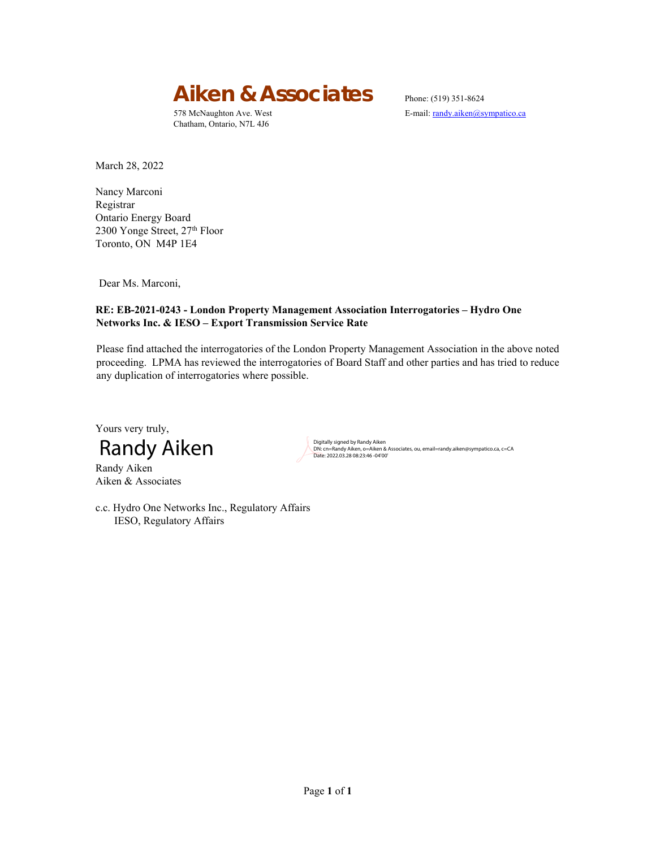# Aiken & Associates Phone: (519) 351-8624

Chatham, Ontario, N7L 4J6

578 McNaughton Ave. West E-mail: randy.aiken@sympatico.ca

March 28, 2022

Nancy Marconi Registrar Ontario Energy Board 2300 Yonge Street, 27<sup>th</sup> Floor Toronto, ON M4P 1E4

Dear Ms. Marconi,

#### **RE: EB-2021-0243 - London Property Management Association Interrogatories – Hydro One Networks Inc. & IESO – Export Transmission Service Rate**

Please find attached the interrogatories of the London Property Management Association in the above noted proceeding. LPMA has reviewed the interrogatories of Board Staff and other parties and has tried to reduce any duplication of interrogatories where possible.

Yours very truly,



Randy Aiken Aiken & Associates DN: cn=Randy Aiken, o=Aiken & Associates, ou, email=randy.aiken@sympatico.ca, c=CA Date: 2022.03.28 08:23:46 -04'00'

c.c. Hydro One Networks Inc., Regulatory Affairs IESO, Regulatory Affairs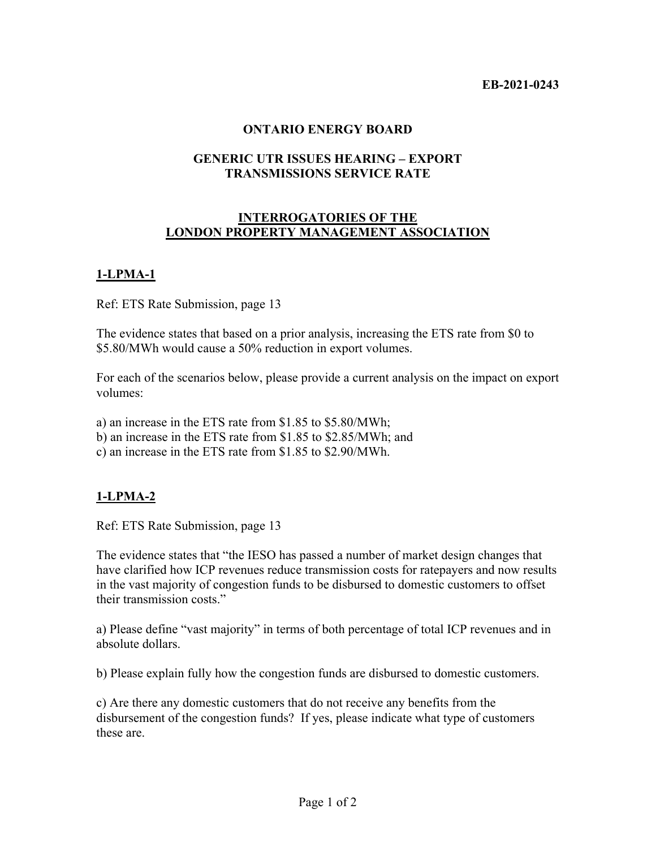#### **ONTARIO ENERGY BOARD**

### **GENERIC UTR ISSUES HEARING – EXPORT TRANSMISSIONS SERVICE RATE**

### **INTERROGATORIES OF THE LONDON PROPERTY MANAGEMENT ASSOCIATION**

## **1-LPMA-1**

Ref: ETS Rate Submission, page 13

The evidence states that based on a prior analysis, increasing the ETS rate from \$0 to \$5.80/MWh would cause a 50% reduction in export volumes.

For each of the scenarios below, please provide a current analysis on the impact on export volumes:

a) an increase in the ETS rate from \$1.85 to \$5.80/MWh;

b) an increase in the ETS rate from \$1.85 to \$2.85/MWh; and

c) an increase in the ETS rate from \$1.85 to \$2.90/MWh.

## **1-LPMA-2**

Ref: ETS Rate Submission, page 13

The evidence states that "the IESO has passed a number of market design changes that have clarified how ICP revenues reduce transmission costs for ratepayers and now results in the vast majority of congestion funds to be disbursed to domestic customers to offset their transmission costs."

a) Please define "vast majority" in terms of both percentage of total ICP revenues and in absolute dollars.

b) Please explain fully how the congestion funds are disbursed to domestic customers.

c) Are there any domestic customers that do not receive any benefits from the disbursement of the congestion funds? If yes, please indicate what type of customers these are.